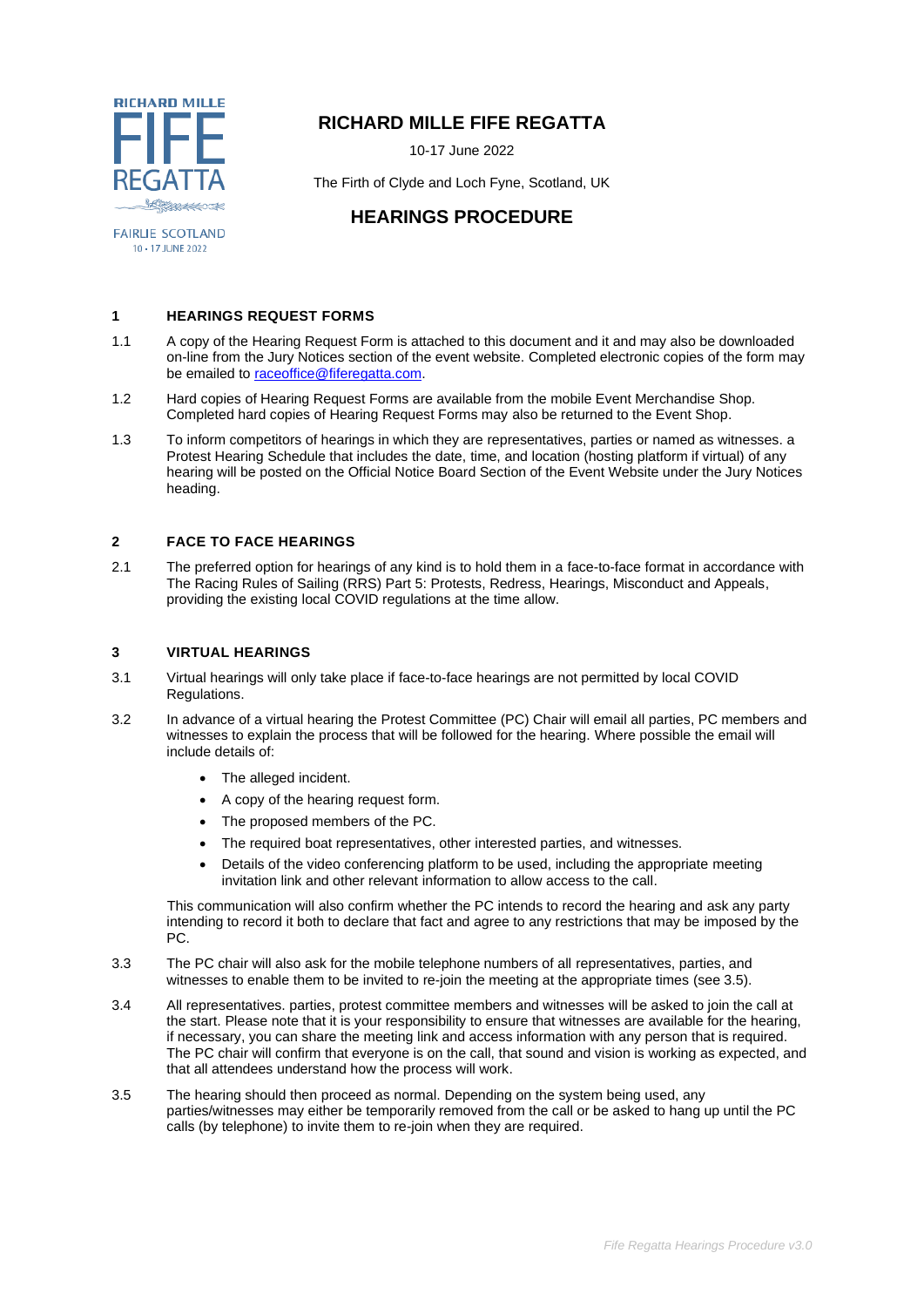

**FAIRLIE SCOTLAND** 10 - 17 JUNE 2022

## **RICHARD MILLE FIFE REGATTA**

10-17 June 2022

The Firth of Clyde and Loch Fyne, Scotland, UK

# **HEARINGS PROCEDURE**

### **1 HEARINGS REQUEST FORMS**

- 1.1 A copy of the Hearing Request Form is attached to this document and it and may also be downloaded on-line from the Jury Notices section of the event website. Completed electronic copies of the form may be emailed to [raceoffice@fiferegatta.com.](mailto:raceoffice@fiferegatta.com)
- 1.2 Hard copies of Hearing Request Forms are available from the mobile Event Merchandise Shop. Completed hard copies of Hearing Request Forms may also be returned to the Event Shop.
- 1.3 To inform competitors of hearings in which they are representatives, parties or named as witnesses. a Protest Hearing Schedule that includes the date, time, and location (hosting platform if virtual) of any hearing will be posted on the Official Notice Board Section of the Event Website under the Jury Notices heading.

### **2 FACE TO FACE HEARINGS**

2.1 The preferred option for hearings of any kind is to hold them in a face-to-face format in accordance with The Racing Rules of Sailing (RRS) Part 5: Protests, Redress, Hearings, Misconduct and Appeals, providing the existing local COVID regulations at the time allow.

#### **3 VIRTUAL HEARINGS**

- 3.1 Virtual hearings will only take place if face-to-face hearings are not permitted by local COVID Regulations.
- 3.2 In advance of a virtual hearing the Protest Committee (PC) Chair will email all parties, PC members and witnesses to explain the process that will be followed for the hearing. Where possible the email will include details of:
	- The alleged incident.
	- A copy of the hearing request form.
	- The proposed members of the PC.
	- The required boat representatives, other interested parties, and witnesses.
	- Details of the video conferencing platform to be used, including the appropriate meeting invitation link and other relevant information to allow access to the call.

This communication will also confirm whether the PC intends to record the hearing and ask any party intending to record it both to declare that fact and agree to any restrictions that may be imposed by the PC.

- 3.3 The PC chair will also ask for the mobile telephone numbers of all representatives, parties, and witnesses to enable them to be invited to re-join the meeting at the appropriate times (see 3.5).
- 3.4 All representatives. parties, protest committee members and witnesses will be asked to join the call at the start. Please note that it is your responsibility to ensure that witnesses are available for the hearing, if necessary, you can share the meeting link and access information with any person that is required. The PC chair will confirm that everyone is on the call, that sound and vision is working as expected, and that all attendees understand how the process will work.
- 3.5 The hearing should then proceed as normal. Depending on the system being used, any parties/witnesses may either be temporarily removed from the call or be asked to hang up until the PC calls (by telephone) to invite them to re-join when they are required.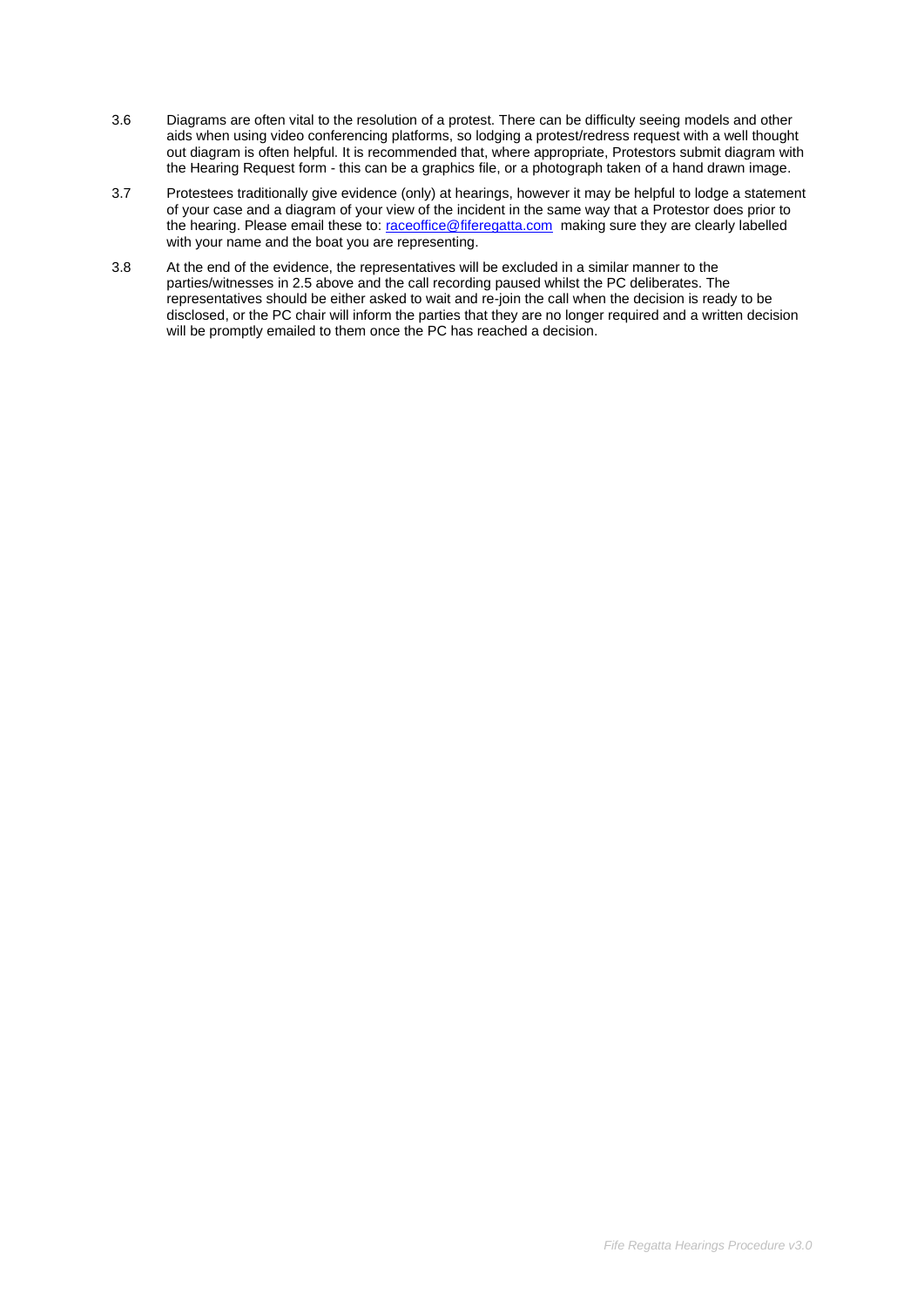- 3.6 Diagrams are often vital to the resolution of a protest. There can be difficulty seeing models and other aids when using video conferencing platforms, so lodging a protest/redress request with a well thought out diagram is often helpful. It is recommended that, where appropriate, Protestors submit diagram with the Hearing Request form - this can be a graphics file, or a photograph taken of a hand drawn image.
- 3.7 Protestees traditionally give evidence (only) at hearings, however it may be helpful to lodge a statement of your case and a diagram of your view of the incident in the same way that a Protestor does prior to the hearing. Please email these to: [raceoffice@fiferegatta.com](mailto:raceoffice@fiferegatta.com) making sure they are clearly labelled with your name and the boat you are representing.
- 3.8 At the end of the evidence, the representatives will be excluded in a similar manner to the parties/witnesses in 2.5 above and the call recording paused whilst the PC deliberates. The representatives should be either asked to wait and re-join the call when the decision is ready to be disclosed, or the PC chair will inform the parties that they are no longer required and a written decision will be promptly emailed to them once the PC has reached a decision.